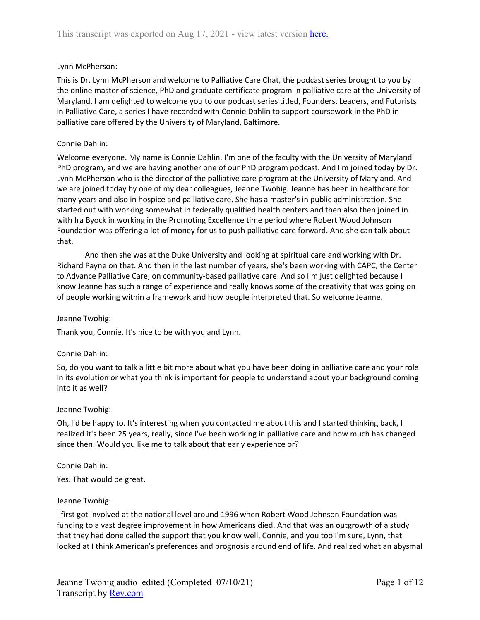# Lynn McPherson:

This is Dr. Lynn McPherson and welcome to Palliative Care Chat, the podcast series brought to you by the online master of science, PhD and graduate certificate program in palliative care at the University of Maryland. I am delighted to welcome you to our podcast series titled, Founders, Leaders, and Futurists in Palliative Care, a series I have recorded with Connie Dahlin to support coursework in the PhD in palliative care offered by the University of Maryland, Baltimore.

# Connie Dahlin:

Welcome everyone. My name is Connie Dahlin. I'm one of the faculty with the University of Maryland PhD program, and we are having another one of our PhD program podcast. And I'm joined today by Dr. Lynn McPherson who is the director of the palliative care program at the University of Maryland. And we are joined today by one of my dear colleagues, Jeanne Twohig. Jeanne has been in healthcare for many years and also in hospice and palliative care. She has a master's in public administration. She started out with working somewhat in federally qualified health centers and then also then joined in with Ira Byock in working in the Promoting Excellence time period where Robert Wood Johnson Foundation was offering a lot of money for us to push palliative care forward. And she can talk about that.

And then she was at the Duke University and looking at spiritual care and working with Dr. Richard Payne on that. And then in the last number of years, she's been working with CAPC, the Center to Advance Palliative Care, on community-based palliative care. And so I'm just delighted because I know Jeanne has such a range of experience and really knows some of the creativity that was going on of people working within a framework and how people interpreted that. So welcome Jeanne.

# Jeanne Twohig:

Thank you, Connie. It's nice to be with you and Lynn.

# Connie Dahlin:

So, do you want to talk a little bit more about what you have been doing in palliative care and your role in its evolution or what you think is important for people to understand about your background coming into it as well?

# Jeanne Twohig:

Oh, I'd be happy to. It's interesting when you contacted me about this and I started thinking back, I realized it's been 25 years, really, since I've been working in palliative care and how much has changed since then. Would you like me to talk about that early experience or?

# Connie Dahlin:

Yes. That would be great.

# Jeanne Twohig:

I first got involved at the national level around 1996 when Robert Wood Johnson Foundation was funding to a vast degree improvement in how Americans died. And that was an outgrowth of a study that they had done called the support that you know well, Connie, and you too I'm sure, Lynn, that looked at I think American's preferences and prognosis around end of life. And realized what an abysmal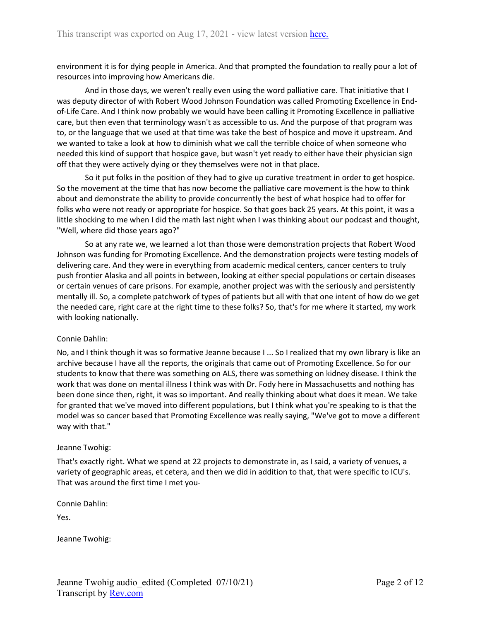environment it is for dying people in America. And that prompted the foundation to really pour a lot of resources into improving how Americans die.

And in those days, we weren't really even using the word palliative care. That initiative that I was deputy director of with Robert Wood Johnson Foundation was called Promoting Excellence in Endof-Life Care. And I think now probably we would have been calling it Promoting Excellence in palliative care, but then even that terminology wasn't as accessible to us. And the purpose of that program was to, or the language that we used at that time was take the best of hospice and move it upstream. And we wanted to take a look at how to diminish what we call the terrible choice of when someone who needed this kind of support that hospice gave, but wasn't yet ready to either have their physician sign off that they were actively dying or they themselves were not in that place.

So it put folks in the position of they had to give up curative treatment in order to get hospice. So the movement at the time that has now become the palliative care movement is the how to think about and demonstrate the ability to provide concurrently the best of what hospice had to offer for folks who were not ready or appropriate for hospice. So that goes back 25 years. At this point, it was a little shocking to me when I did the math last night when I was thinking about our podcast and thought, "Well, where did those years ago?"

So at any rate we, we learned a lot than those were demonstration projects that Robert Wood Johnson was funding for Promoting Excellence. And the demonstration projects were testing models of delivering care. And they were in everything from academic medical centers, cancer centers to truly push frontier Alaska and all points in between, looking at either special populations or certain diseases or certain venues of care prisons. For example, another project was with the seriously and persistently mentally ill. So, a complete patchwork of types of patients but all with that one intent of how do we get the needed care, right care at the right time to these folks? So, that's for me where it started, my work with looking nationally.

# Connie Dahlin:

No, and I think though it was so formative Jeanne because I ... So I realized that my own library is like an archive because I have all the reports, the originals that came out of Promoting Excellence. So for our students to know that there was something on ALS, there was something on kidney disease. I think the work that was done on mental illness I think was with Dr. Fody here in Massachusetts and nothing has been done since then, right, it was so important. And really thinking about what does it mean. We take for granted that we've moved into different populations, but I think what you're speaking to is that the model was so cancer based that Promoting Excellence was really saying, "We've got to move a different way with that."

#### Jeanne Twohig:

That's exactly right. What we spend at 22 projects to demonstrate in, as I said, a variety of venues, a variety of geographic areas, et cetera, and then we did in addition to that, that were specific to ICU's. That was around the first time I met you-

Connie Dahlin:

Yes.

Jeanne Twohig: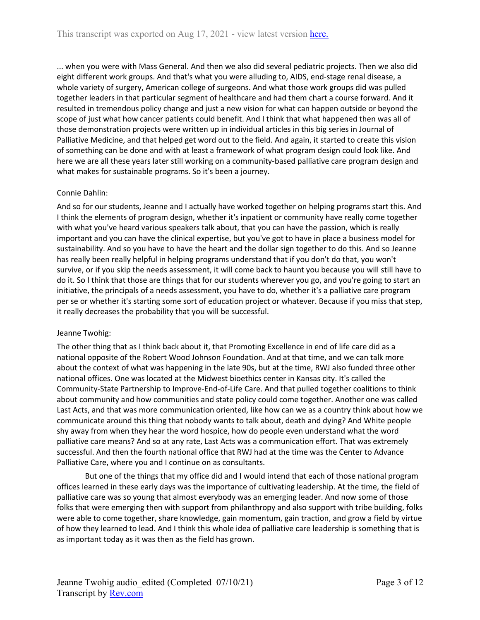... when you were with Mass General. And then we also did several pediatric projects. Then we also did eight different work groups. And that's what you were alluding to, AIDS, end-stage renal disease, a whole variety of surgery, American college of surgeons. And what those work groups did was pulled together leaders in that particular segment of healthcare and had them chart a course forward. And it resulted in tremendous policy change and just a new vision for what can happen outside or beyond the scope of just what how cancer patients could benefit. And I think that what happened then was all of those demonstration projects were written up in individual articles in this big series in Journal of Palliative Medicine, and that helped get word out to the field. And again, it started to create this vision of something can be done and with at least a framework of what program design could look like. And here we are all these years later still working on a community-based palliative care program design and what makes for sustainable programs. So it's been a journey.

# Connie Dahlin:

And so for our students, Jeanne and I actually have worked together on helping programs start this. And I think the elements of program design, whether it's inpatient or community have really come together with what you've heard various speakers talk about, that you can have the passion, which is really important and you can have the clinical expertise, but you've got to have in place a business model for sustainability. And so you have to have the heart and the dollar sign together to do this. And so Jeanne has really been really helpful in helping programs understand that if you don't do that, you won't survive, or if you skip the needs assessment, it will come back to haunt you because you will still have to do it. So I think that those are things that for our students wherever you go, and you're going to start an initiative, the principals of a needs assessment, you have to do, whether it's a palliative care program per se or whether it's starting some sort of education project or whatever. Because if you miss that step, it really decreases the probability that you will be successful.

# Jeanne Twohig:

The other thing that as I think back about it, that Promoting Excellence in end of life care did as a national opposite of the Robert Wood Johnson Foundation. And at that time, and we can talk more about the context of what was happening in the late 90s, but at the time, RWJ also funded three other national offices. One was located at the Midwest bioethics center in Kansas city. It's called the Community-State Partnership to Improve-End-of-Life Care. And that pulled together coalitions to think about community and how communities and state policy could come together. Another one was called Last Acts, and that was more communication oriented, like how can we as a country think about how we communicate around this thing that nobody wants to talk about, death and dying? And White people shy away from when they hear the word hospice, how do people even understand what the word palliative care means? And so at any rate, Last Acts was a communication effort. That was extremely successful. And then the fourth national office that RWJ had at the time was the Center to Advance Palliative Care, where you and I continue on as consultants.

But one of the things that my office did and I would intend that each of those national program offices learned in these early days was the importance of cultivating leadership. At the time, the field of palliative care was so young that almost everybody was an emerging leader. And now some of those folks that were emerging then with support from philanthropy and also support with tribe building, folks were able to come together, share knowledge, gain momentum, gain traction, and grow a field by virtue of how they learned to lead. And I think this whole idea of palliative care leadership is something that is as important today as it was then as the field has grown.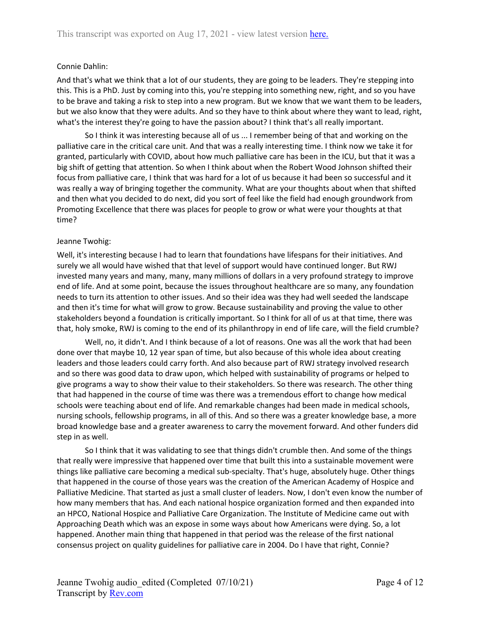# Connie Dahlin:

And that's what we think that a lot of our students, they are going to be leaders. They're stepping into this. This is a PhD. Just by coming into this, you're stepping into something new, right, and so you have to be brave and taking a risk to step into a new program. But we know that we want them to be leaders, but we also know that they were adults. And so they have to think about where they want to lead, right, what's the interest they're going to have the passion about? I think that's all really important.

So I think it was interesting because all of us ... I remember being of that and working on the palliative care in the critical care unit. And that was a really interesting time. I think now we take it for granted, particularly with COVID, about how much palliative care has been in the ICU, but that it was a big shift of getting that attention. So when I think about when the Robert Wood Johnson shifted their focus from palliative care, I think that was hard for a lot of us because it had been so successful and it was really a way of bringing together the community. What are your thoughts about when that shifted and then what you decided to do next, did you sort of feel like the field had enough groundwork from Promoting Excellence that there was places for people to grow or what were your thoughts at that time?

# Jeanne Twohig:

Well, it's interesting because I had to learn that foundations have lifespans for their initiatives. And surely we all would have wished that that level of support would have continued longer. But RWJ invested many years and many, many, many millions of dollars in a very profound strategy to improve end of life. And at some point, because the issues throughout healthcare are so many, any foundation needs to turn its attention to other issues. And so their idea was they had well seeded the landscape and then it's time for what will grow to grow. Because sustainability and proving the value to other stakeholders beyond a foundation is critically important. So I think for all of us at that time, there was that, holy smoke, RWJ is coming to the end of its philanthropy in end of life care, will the field crumble?

Well, no, it didn't. And I think because of a lot of reasons. One was all the work that had been done over that maybe 10, 12 year span of time, but also because of this whole idea about creating leaders and those leaders could carry forth. And also because part of RWJ strategy involved research and so there was good data to draw upon, which helped with sustainability of programs or helped to give programs a way to show their value to their stakeholders. So there was research. The other thing that had happened in the course of time was there was a tremendous effort to change how medical schools were teaching about end of life. And remarkable changes had been made in medical schools, nursing schools, fellowship programs, in all of this. And so there was a greater knowledge base, a more broad knowledge base and a greater awareness to carry the movement forward. And other funders did step in as well.

So I think that it was validating to see that things didn't crumble then. And some of the things that really were impressive that happened over time that built this into a sustainable movement were things like palliative care becoming a medical sub-specialty. That's huge, absolutely huge. Other things that happened in the course of those years was the creation of the American Academy of Hospice and Palliative Medicine. That started as just a small cluster of leaders. Now, I don't even know the number of how many members that has. And each national hospice organization formed and then expanded into an HPCO, National Hospice and Palliative Care Organization. The Institute of Medicine came out with Approaching Death which was an expose in some ways about how Americans were dying. So, a lot happened. Another main thing that happened in that period was the release of the first national consensus project on quality guidelines for palliative care in 2004. Do I have that right, Connie?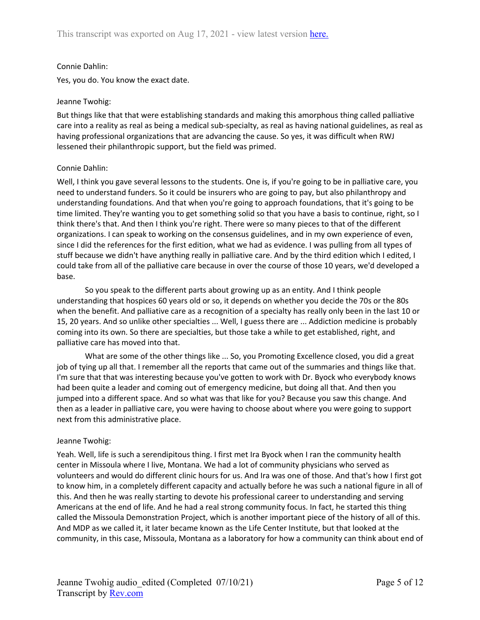# Connie Dahlin:

Yes, you do. You know the exact date.

# Jeanne Twohig:

But things like that that were establishing standards and making this amorphous thing called palliative care into a reality as real as being a medical sub-specialty, as real as having national guidelines, as real as having professional organizations that are advancing the cause. So yes, it was difficult when RWJ lessened their philanthropic support, but the field was primed.

# Connie Dahlin:

Well, I think you gave several lessons to the students. One is, if you're going to be in palliative care, you need to understand funders. So it could be insurers who are going to pay, but also philanthropy and understanding foundations. And that when you're going to approach foundations, that it's going to be time limited. They're wanting you to get something solid so that you have a basis to continue, right, so I think there's that. And then I think you're right. There were so many pieces to that of the different organizations. I can speak to working on the consensus guidelines, and in my own experience of even, since I did the references for the first edition, what we had as evidence. I was pulling from all types of stuff because we didn't have anything really in palliative care. And by the third edition which I edited, I could take from all of the palliative care because in over the course of those 10 years, we'd developed a base.

So you speak to the different parts about growing up as an entity. And I think people understanding that hospices 60 years old or so, it depends on whether you decide the 70s or the 80s when the benefit. And palliative care as a recognition of a specialty has really only been in the last 10 or 15, 20 years. And so unlike other specialties ... Well, I guess there are ... Addiction medicine is probably coming into its own. So there are specialties, but those take a while to get established, right, and palliative care has moved into that.

What are some of the other things like ... So, you Promoting Excellence closed, you did a great job of tying up all that. I remember all the reports that came out of the summaries and things like that. I'm sure that that was interesting because you've gotten to work with Dr. Byock who everybody knows had been quite a leader and coming out of emergency medicine, but doing all that. And then you jumped into a different space. And so what was that like for you? Because you saw this change. And then as a leader in palliative care, you were having to choose about where you were going to support next from this administrative place.

# Jeanne Twohig:

Yeah. Well, life is such a serendipitous thing. I first met Ira Byock when I ran the community health center in Missoula where I live, Montana. We had a lot of community physicians who served as volunteers and would do different clinic hours for us. And Ira was one of those. And that's how I first got to know him, in a completely different capacity and actually before he was such a national figure in all of this. And then he was really starting to devote his professional career to understanding and serving Americans at the end of life. And he had a real strong community focus. In fact, he started this thing called the Missoula Demonstration Project, which is another important piece of the history of all of this. And MDP as we called it, it later became known as the Life Center Institute, but that looked at the community, in this case, Missoula, Montana as a laboratory for how a community can think about end of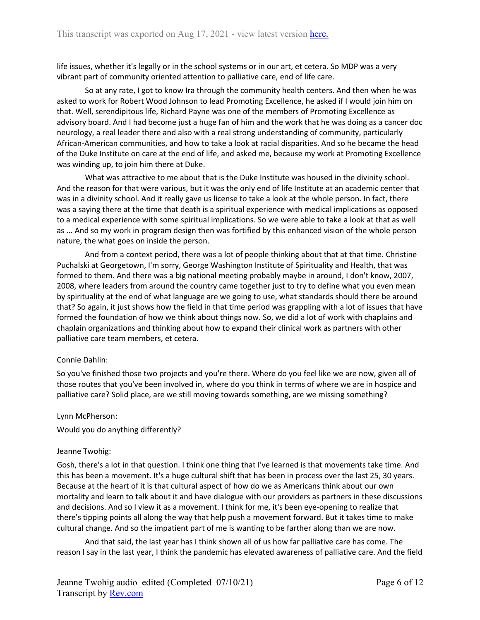life issues, whether it's legally or in the school systems or in our art, et cetera. So MDP was a very vibrant part of community oriented attention to palliative care, end of life care.

So at any rate, I got to know Ira through the community health centers. And then when he was asked to work for Robert Wood Johnson to lead Promoting Excellence, he asked if I would join him on that. Well, serendipitous life, Richard Payne was one of the members of Promoting Excellence as advisory board. And I had become just a huge fan of him and the work that he was doing as a cancer doc neurology, a real leader there and also with a real strong understanding of community, particularly African-American communities, and how to take a look at racial disparities. And so he became the head of the Duke Institute on care at the end of life, and asked me, because my work at Promoting Excellence was winding up, to join him there at Duke.

What was attractive to me about that is the Duke Institute was housed in the divinity school. And the reason for that were various, but it was the only end of life Institute at an academic center that was in a divinity school. And it really gave us license to take a look at the whole person. In fact, there was a saying there at the time that death is a spiritual experience with medical implications as opposed to a medical experience with some spiritual implications. So we were able to take a look at that as well as ... And so my work in program design then was fortified by this enhanced vision of the whole person nature, the what goes on inside the person.

And from a context period, there was a lot of people thinking about that at that time. Christine Puchalski at Georgetown, I'm sorry, George Washington Institute of Spirituality and Health, that was formed to them. And there was a big national meeting probably maybe in around, I don't know, 2007, 2008, where leaders from around the country came together just to try to define what you even mean by spirituality at the end of what language are we going to use, what standards should there be around that? So again, it just shows how the field in that time period was grappling with a lot of issues that have formed the foundation of how we think about things now. So, we did a lot of work with chaplains and chaplain organizations and thinking about how to expand their clinical work as partners with other palliative care team members, et cetera.

# Connie Dahlin:

So you've finished those two projects and you're there. Where do you feel like we are now, given all of those routes that you've been involved in, where do you think in terms of where we are in hospice and palliative care? Solid place, are we still moving towards something, are we missing something?

# Lynn McPherson:

Would you do anything differently?

# Jeanne Twohig:

Gosh, there's a lot in that question. I think one thing that I've learned is that movements take time. And this has been a movement. It's a huge cultural shift that has been in process over the last 25, 30 years. Because at the heart of it is that cultural aspect of how do we as Americans think about our own mortality and learn to talk about it and have dialogue with our providers as partners in these discussions and decisions. And so I view it as a movement. I think for me, it's been eye-opening to realize that there's tipping points all along the way that help push a movement forward. But it takes time to make cultural change. And so the impatient part of me is wanting to be farther along than we are now.

And that said, the last year has I think shown all of us how far palliative care has come. The reason I say in the last year, I think the pandemic has elevated awareness of palliative care. And the field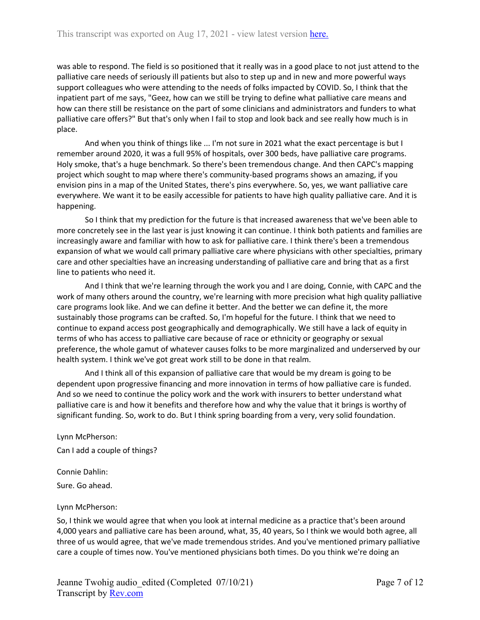was able to respond. The field is so positioned that it really was in a good place to not just attend to the palliative care needs of seriously ill patients but also to step up and in new and more powerful ways support colleagues who were attending to the needs of folks impacted by COVID. So, I think that the inpatient part of me says, "Geez, how can we still be trying to define what palliative care means and how can there still be resistance on the part of some clinicians and administrators and funders to what palliative care offers?" But that's only when I fail to stop and look back and see really how much is in place.

And when you think of things like ... I'm not sure in 2021 what the exact percentage is but I remember around 2020, it was a full 95% of hospitals, over 300 beds, have palliative care programs. Holy smoke, that's a huge benchmark. So there's been tremendous change. And then CAPC's mapping project which sought to map where there's community-based programs shows an amazing, if you envision pins in a map of the United States, there's pins everywhere. So, yes, we want palliative care everywhere. We want it to be easily accessible for patients to have high quality palliative care. And it is happening.

So I think that my prediction for the future is that increased awareness that we've been able to more concretely see in the last year is just knowing it can continue. I think both patients and families are increasingly aware and familiar with how to ask for palliative care. I think there's been a tremendous expansion of what we would call primary palliative care where physicians with other specialties, primary care and other specialties have an increasing understanding of palliative care and bring that as a first line to patients who need it.

And I think that we're learning through the work you and I are doing, Connie, with CAPC and the work of many others around the country, we're learning with more precision what high quality palliative care programs look like. And we can define it better. And the better we can define it, the more sustainably those programs can be crafted. So, I'm hopeful for the future. I think that we need to continue to expand access post geographically and demographically. We still have a lack of equity in terms of who has access to palliative care because of race or ethnicity or geography or sexual preference, the whole gamut of whatever causes folks to be more marginalized and underserved by our health system. I think we've got great work still to be done in that realm.

And I think all of this expansion of palliative care that would be my dream is going to be dependent upon progressive financing and more innovation in terms of how palliative care is funded. And so we need to continue the policy work and the work with insurers to better understand what palliative care is and how it benefits and therefore how and why the value that it brings is worthy of significant funding. So, work to do. But I think spring boarding from a very, very solid foundation.

Lynn McPherson: Can I add a couple of things?

Connie Dahlin:

Sure. Go ahead.

Lynn McPherson:

So, I think we would agree that when you look at internal medicine as a practice that's been around 4,000 years and palliative care has been around, what, 35, 40 years, So I think we would both agree, all three of us would agree, that we've made tremendous strides. And you've mentioned primary palliative care a couple of times now. You've mentioned physicians both times. Do you think we're doing an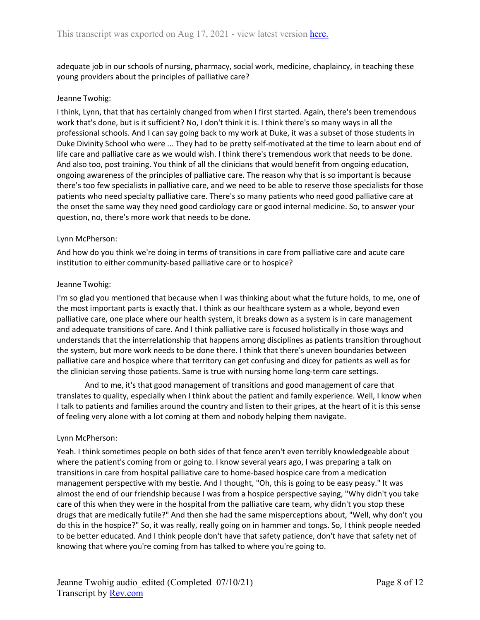adequate job in our schools of nursing, pharmacy, social work, medicine, chaplaincy, in teaching these young providers about the principles of palliative care?

### Jeanne Twohig:

I think, Lynn, that that has certainly changed from when I first started. Again, there's been tremendous work that's done, but is it sufficient? No, I don't think it is. I think there's so many ways in all the professional schools. And I can say going back to my work at Duke, it was a subset of those students in Duke Divinity School who were ... They had to be pretty self-motivated at the time to learn about end of life care and palliative care as we would wish. I think there's tremendous work that needs to be done. And also too, post training. You think of all the clinicians that would benefit from ongoing education, ongoing awareness of the principles of palliative care. The reason why that is so important is because there's too few specialists in palliative care, and we need to be able to reserve those specialists for those patients who need specialty palliative care. There's so many patients who need good palliative care at the onset the same way they need good cardiology care or good internal medicine. So, to answer your question, no, there's more work that needs to be done.

#### Lynn McPherson:

And how do you think we're doing in terms of transitions in care from palliative care and acute care institution to either community-based palliative care or to hospice?

#### Jeanne Twohig:

I'm so glad you mentioned that because when I was thinking about what the future holds, to me, one of the most important parts is exactly that. I think as our healthcare system as a whole, beyond even palliative care, one place where our health system, it breaks down as a system is in care management and adequate transitions of care. And I think palliative care is focused holistically in those ways and understands that the interrelationship that happens among disciplines as patients transition throughout the system, but more work needs to be done there. I think that there's uneven boundaries between palliative care and hospice where that territory can get confusing and dicey for patients as well as for the clinician serving those patients. Same is true with nursing home long-term care settings.

And to me, it's that good management of transitions and good management of care that translates to quality, especially when I think about the patient and family experience. Well, I know when I talk to patients and families around the country and listen to their gripes, at the heart of it is this sense of feeling very alone with a lot coming at them and nobody helping them navigate.

#### Lynn McPherson:

Yeah. I think sometimes people on both sides of that fence aren't even terribly knowledgeable about where the patient's coming from or going to. I know several years ago, I was preparing a talk on transitions in care from hospital palliative care to home-based hospice care from a medication management perspective with my bestie. And I thought, "Oh, this is going to be easy peasy." It was almost the end of our friendship because I was from a hospice perspective saying, "Why didn't you take care of this when they were in the hospital from the palliative care team, why didn't you stop these drugs that are medically futile?" And then she had the same misperceptions about, "Well, why don't you do this in the hospice?" So, it was really, really going on in hammer and tongs. So, I think people needed to be better educated. And I think people don't have that safety patience, don't have that safety net of knowing that where you're coming from has talked to where you're going to.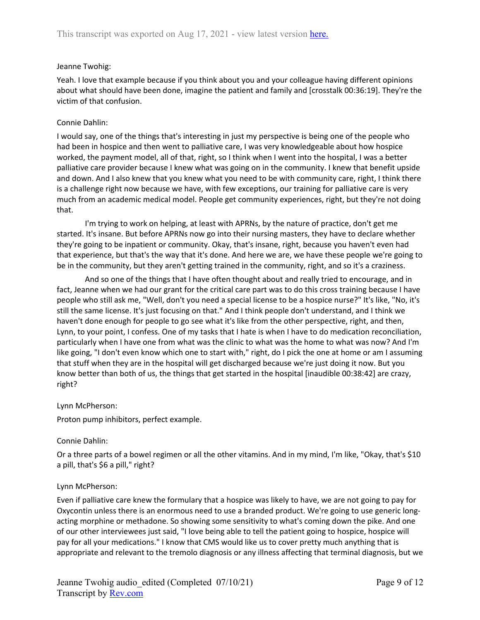# Jeanne Twohig:

Yeah. I love that example because if you think about you and your colleague having different opinions about what should have been done, imagine the patient and family and [crosstalk 00:36:19]. They're the victim of that confusion.

# Connie Dahlin:

I would say, one of the things that's interesting in just my perspective is being one of the people who had been in hospice and then went to palliative care, I was very knowledgeable about how hospice worked, the payment model, all of that, right, so I think when I went into the hospital, I was a better palliative care provider because I knew what was going on in the community. I knew that benefit upside and down. And I also knew that you knew what you need to be with community care, right, I think there is a challenge right now because we have, with few exceptions, our training for palliative care is very much from an academic medical model. People get community experiences, right, but they're not doing that.

I'm trying to work on helping, at least with APRNs, by the nature of practice, don't get me started. It's insane. But before APRNs now go into their nursing masters, they have to declare whether they're going to be inpatient or community. Okay, that's insane, right, because you haven't even had that experience, but that's the way that it's done. And here we are, we have these people we're going to be in the community, but they aren't getting trained in the community, right, and so it's a craziness.

And so one of the things that I have often thought about and really tried to encourage, and in fact, Jeanne when we had our grant for the critical care part was to do this cross training because I have people who still ask me, "Well, don't you need a special license to be a hospice nurse?" It's like, "No, it's still the same license. It's just focusing on that." And I think people don't understand, and I think we haven't done enough for people to go see what it's like from the other perspective, right, and then, Lynn, to your point, I confess. One of my tasks that I hate is when I have to do medication reconciliation, particularly when I have one from what was the clinic to what was the home to what was now? And I'm like going, "I don't even know which one to start with," right, do I pick the one at home or am I assuming that stuff when they are in the hospital will get discharged because we're just doing it now. But you know better than both of us, the things that get started in the hospital [inaudible 00:38:42] are crazy, right?

# Lynn McPherson:

Proton pump inhibitors, perfect example.

# Connie Dahlin:

Or a three parts of a bowel regimen or all the other vitamins. And in my mind, I'm like, "Okay, that's \$10 a pill, that's \$6 a pill," right?

# Lynn McPherson:

Even if palliative care knew the formulary that a hospice was likely to have, we are not going to pay for Oxycontin unless there is an enormous need to use a branded product. We're going to use generic longacting morphine or methadone. So showing some sensitivity to what's coming down the pike. And one of our other interviewees just said, "I love being able to tell the patient going to hospice, hospice will pay for all your medications." I know that CMS would like us to cover pretty much anything that is appropriate and relevant to the tremolo diagnosis or any illness affecting that terminal diagnosis, but we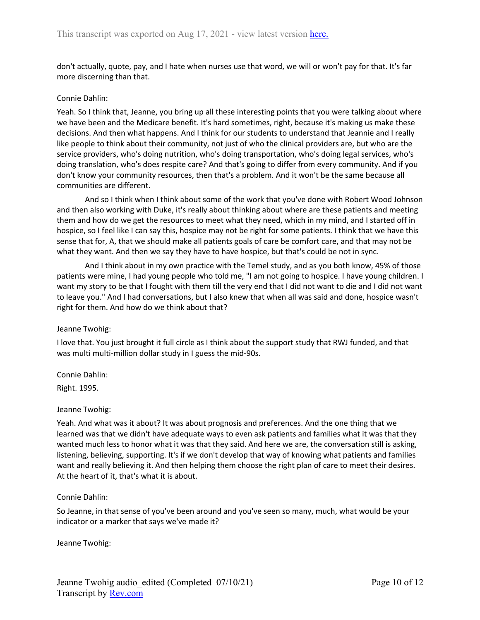don't actually, quote, pay, and I hate when nurses use that word, we will or won't pay for that. It's far more discerning than that.

### Connie Dahlin:

Yeah. So I think that, Jeanne, you bring up all these interesting points that you were talking about where we have been and the Medicare benefit. It's hard sometimes, right, because it's making us make these decisions. And then what happens. And I think for our students to understand that Jeannie and I really like people to think about their community, not just of who the clinical providers are, but who are the service providers, who's doing nutrition, who's doing transportation, who's doing legal services, who's doing translation, who's does respite care? And that's going to differ from every community. And if you don't know your community resources, then that's a problem. And it won't be the same because all communities are different.

And so I think when I think about some of the work that you've done with Robert Wood Johnson and then also working with Duke, it's really about thinking about where are these patients and meeting them and how do we get the resources to meet what they need, which in my mind, and I started off in hospice, so I feel like I can say this, hospice may not be right for some patients. I think that we have this sense that for, A, that we should make all patients goals of care be comfort care, and that may not be what they want. And then we say they have to have hospice, but that's could be not in sync.

And I think about in my own practice with the Temel study, and as you both know, 45% of those patients were mine, I had young people who told me, "I am not going to hospice. I have young children. I want my story to be that I fought with them till the very end that I did not want to die and I did not want to leave you." And I had conversations, but I also knew that when all was said and done, hospice wasn't right for them. And how do we think about that?

# Jeanne Twohig:

I love that. You just brought it full circle as I think about the support study that RWJ funded, and that was multi multi-million dollar study in I guess the mid-90s.

Connie Dahlin: Right. 1995.

#### Jeanne Twohig:

Yeah. And what was it about? It was about prognosis and preferences. And the one thing that we learned was that we didn't have adequate ways to even ask patients and families what it was that they wanted much less to honor what it was that they said. And here we are, the conversation still is asking, listening, believing, supporting. It's if we don't develop that way of knowing what patients and families want and really believing it. And then helping them choose the right plan of care to meet their desires. At the heart of it, that's what it is about.

#### Connie Dahlin:

So Jeanne, in that sense of you've been around and you've seen so many, much, what would be your indicator or a marker that says we've made it?

Jeanne Twohig: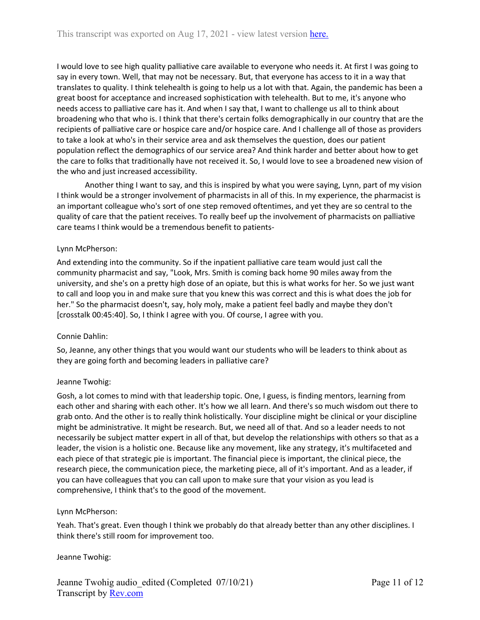I would love to see high quality palliative care available to everyone who needs it. At first I was going to say in every town. Well, that may not be necessary. But, that everyone has access to it in a way that translates to quality. I think telehealth is going to help us a lot with that. Again, the pandemic has been a great boost for acceptance and increased sophistication with telehealth. But to me, it's anyone who needs access to palliative care has it. And when I say that, I want to challenge us all to think about broadening who that who is. I think that there's certain folks demographically in our country that are the recipients of palliative care or hospice care and/or hospice care. And I challenge all of those as providers to take a look at who's in their service area and ask themselves the question, does our patient population reflect the demographics of our service area? And think harder and better about how to get the care to folks that traditionally have not received it. So, I would love to see a broadened new vision of the who and just increased accessibility.

Another thing I want to say, and this is inspired by what you were saying, Lynn, part of my vision I think would be a stronger involvement of pharmacists in all of this. In my experience, the pharmacist is an important colleague who's sort of one step removed oftentimes, and yet they are so central to the quality of care that the patient receives. To really beef up the involvement of pharmacists on palliative care teams I think would be a tremendous benefit to patients-

# Lynn McPherson:

And extending into the community. So if the inpatient palliative care team would just call the community pharmacist and say, "Look, Mrs. Smith is coming back home 90 miles away from the university, and she's on a pretty high dose of an opiate, but this is what works for her. So we just want to call and loop you in and make sure that you knew this was correct and this is what does the job for her." So the pharmacist doesn't, say, holy moly, make a patient feel badly and maybe they don't [crosstalk 00:45:40]. So, I think I agree with you. Of course, I agree with you.

# Connie Dahlin:

So, Jeanne, any other things that you would want our students who will be leaders to think about as they are going forth and becoming leaders in palliative care?

# Jeanne Twohig:

Gosh, a lot comes to mind with that leadership topic. One, I guess, is finding mentors, learning from each other and sharing with each other. It's how we all learn. And there's so much wisdom out there to grab onto. And the other is to really think holistically. Your discipline might be clinical or your discipline might be administrative. It might be research. But, we need all of that. And so a leader needs to not necessarily be subject matter expert in all of that, but develop the relationships with others so that as a leader, the vision is a holistic one. Because like any movement, like any strategy, it's multifaceted and each piece of that strategic pie is important. The financial piece is important, the clinical piece, the research piece, the communication piece, the marketing piece, all of it's important. And as a leader, if you can have colleagues that you can call upon to make sure that your vision as you lead is comprehensive, I think that's to the good of the movement.

# Lynn McPherson:

Yeah. That's great. Even though I think we probably do that already better than any other disciplines. I think there's still room for improvement too.

# Jeanne Twohig: